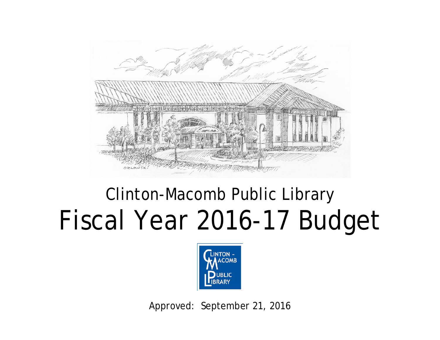

# Clinton-Macomb Public Library Fiscal Year 2016-17 Budget



Approved: September 21, 2016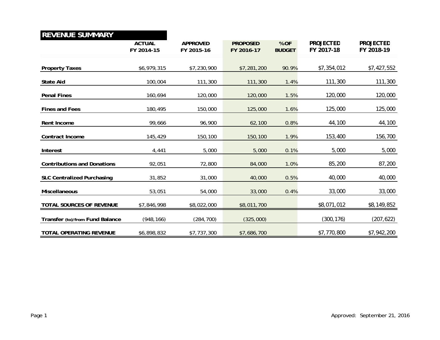#### **REVENUE SUMMARY**

|                                    | <b>ACTUAL</b><br>FY 2014-15 | <b>APPROVED</b><br>FY 2015-16 | <b>PROPOSED</b><br>FY 2016-17 | % OF<br><b>BUDGET</b> | <b>PROJECTED</b><br>FY 2017-18 | <b>PROJECTED</b><br>FY 2018-19 |
|------------------------------------|-----------------------------|-------------------------------|-------------------------------|-----------------------|--------------------------------|--------------------------------|
|                                    |                             |                               |                               |                       |                                |                                |
| <b>Property Taxes</b>              | \$6,979,315                 | \$7,230,900                   | \$7,281,200                   | 90.9%                 | \$7,354,012                    | \$7,427,552                    |
| <b>State Aid</b>                   | 100,004                     | 111,300                       | 111,300                       | 1.4%                  | 111,300                        | 111,300                        |
| <b>Penal Fines</b>                 | 160,694                     | 120,000                       | 120,000                       | 1.5%                  | 120,000                        | 120,000                        |
| <b>Fines and Fees</b>              | 180,495                     | 150,000                       | 125,000                       | 1.6%                  | 125,000                        | 125,000                        |
| Rent Income                        | 99,666                      | 96,900                        | 62,100                        | 0.8%                  | 44,100                         | 44,100                         |
| Contract Income                    | 145,429                     | 150,100                       | 150,100                       | 1.9%                  | 153,400                        | 156,700                        |
| Interest                           | 4,441                       | 5,000                         | 5,000                         | 0.1%                  | 5,000                          | 5,000                          |
| <b>Contributions and Donations</b> | 92,051                      | 72,800                        | 84,000                        | 1.0%                  | 85,200                         | 87,200                         |
| <b>SLC Centralized Purchasing</b>  | 31,852                      | 31,000                        | 40,000                        | 0.5%                  | 40,000                         | 40,000                         |
| <b>Miscellaneous</b>               | 53,051                      | 54,000                        | 33,000                        | 0.4%                  | 33,000                         | 33,000                         |
| <b>TOTAL SOURCES OF REVENUE</b>    | \$7,846,998                 | \$8,022,000                   | \$8,011,700                   |                       | \$8,071,012                    | \$8,149,852                    |
| Transfer (to)/from Fund Balance    | (948, 166)                  | (284, 700)                    | (325,000)                     |                       | (300, 176)                     | (207, 622)                     |
| TOTAL OPERATING REVENUE            | \$6,898,832                 | \$7,737,300                   | \$7,686,700                   |                       | \$7,770,800                    | \$7,942,200                    |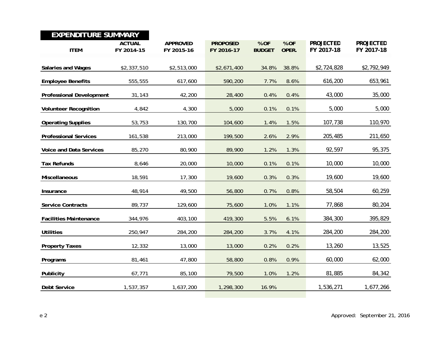| <b>EXPENDITURE SUMMARY</b>      |                             |                               |                               |                       |               |                                |                                |
|---------------------------------|-----------------------------|-------------------------------|-------------------------------|-----------------------|---------------|--------------------------------|--------------------------------|
| <b>ITEM</b>                     | <b>ACTUAL</b><br>FY 2014-15 | <b>APPROVED</b><br>FY 2015-16 | <b>PROPOSED</b><br>FY 2016-17 | % OF<br><b>BUDGET</b> | % OF<br>OPER. | <b>PROJECTED</b><br>FY 2017-18 | <b>PROJECTED</b><br>FY 2017-18 |
| <b>Salaries and Wages</b>       | \$2,337,510                 | \$2,513,000                   | \$2,671,400                   | 34.8%                 | 38.8%         | \$2,724,828                    | \$2,792,949                    |
| <b>Employee Benefits</b>        | 555,555                     | 617,600                       | 590,200                       | 7.7%                  | 8.6%          | 616,200                        | 653,961                        |
| <b>Professional Development</b> | 31,143                      | 42,200                        | 28,400                        | 0.4%                  | 0.4%          | 43,000                         | 35,000                         |
| <b>Volunteer Recognition</b>    | 4,842                       | 4,300                         | 5,000                         | 0.1%                  | 0.1%          | 5,000                          | 5,000                          |
| <b>Operating Supplies</b>       | 53,753                      | 130,700                       | 104,600                       | 1.4%                  | 1.5%          | 107,738                        | 110,970                        |
| <b>Professional Services</b>    | 161,538                     | 213,000                       | 199,500                       | 2.6%                  | 2.9%          | 205,485                        | 211,650                        |
| <b>Voice and Data Services</b>  | 85,270                      | 80,900                        | 89,900                        | 1.2%                  | 1.3%          | 92,597                         | 95,375                         |
| <b>Tax Refunds</b>              | 8,646                       | 20,000                        | 10,000                        | 0.1%                  | 0.1%          | 10,000                         | 10,000                         |
| Miscellaneous                   | 18,591                      | 17,300                        | 19,600                        | 0.3%                  | 0.3%          | 19,600                         | 19,600                         |
| Insurance                       | 48,914                      | 49,500                        | 56,800                        | 0.7%                  | 0.8%          | 58,504                         | 60,259                         |
| <b>Service Contracts</b>        | 89,737                      | 129,600                       | 75,600                        | 1.0%                  | 1.1%          | 77,868                         | 80,204                         |
| <b>Facilities Maintenance</b>   | 344,976                     | 403,100                       | 419,300                       | 5.5%                  | 6.1%          | 384,300                        | 395,829                        |
| <b>Utilities</b>                | 250,947                     | 284,200                       | 284,200                       | 3.7%                  | 4.1%          | 284,200                        | 284,200                        |
| <b>Property Taxes</b>           | 12,332                      | 13,000                        | 13,000                        | 0.2%                  | 0.2%          | 13,260                         | 13,525                         |
| Programs                        | 81,461                      | 47,800                        | 58,800                        | 0.8%                  | 0.9%          | 60,000                         | 62,000                         |
| Publicity                       | 67,771                      | 85,100                        | 79,500                        | 1.0%                  | 1.2%          | 81,885                         | 84,342                         |
| <b>Debt Service</b>             | 1,537,357                   | 1,637,200                     | 1,298,300                     | 16.9%                 |               | 1,536,271                      | 1,677,266                      |
|                                 |                             |                               |                               |                       |               |                                |                                |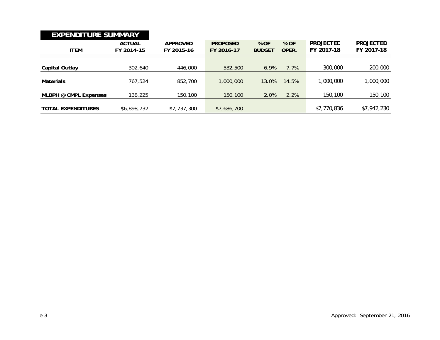| <b>EXPENDITURE SUMMARY</b> |                             |                               |                               |                       |               |                                       |                                |
|----------------------------|-----------------------------|-------------------------------|-------------------------------|-----------------------|---------------|---------------------------------------|--------------------------------|
| <b>ITEM</b>                | <b>ACTUAL</b><br>FY 2014-15 | <b>APPROVED</b><br>FY 2015-16 | <b>PROPOSED</b><br>FY 2016-17 | % OF<br><b>BUDGET</b> | % OF<br>OPER. | <i><b>PROJECTED</b></i><br>FY 2017-18 | <i>PROJECTED</i><br>FY 2017-18 |
| Capital Outlay             | 302,640                     | 446,000                       | 532,500                       | 6.9%                  | 7.7%          | <i>300,000</i>                        | <i>200,000</i>                 |
| <b>Materials</b>           | 767.524                     | 852,700                       | 1,000,000                     | 13.0%                 | 14.5%         | <i>1,000,000</i>                      | 1,000,000                      |
| MLBPH @ CMPL Expenses      | 138,225                     | 150,100                       | 150,100                       | 2.0%                  | 2.2%          | <i>150,100</i>                        | 150,100                        |
| <b>TOTAL EXPENDITURES</b>  | \$6,898,732                 | \$7,737,300                   | \$7,686,700                   |                       |               | \$7,770,836                           | \$7,942,230                    |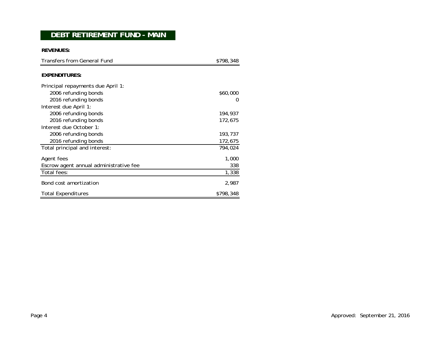### **DEBT RETIREMENT FUND - MAIN**

**REVENUES:**

| <b>Transfers from General Fund</b>     | \$798,348    |  |  |
|----------------------------------------|--------------|--|--|
| <b>EXPENDITURES:</b>                   |              |  |  |
| Principal repayments due April 1:      |              |  |  |
| 2006 refunding bonds                   | \$60,000     |  |  |
| 2016 refunding bonds                   | $\mathbf{0}$ |  |  |
| Interest due April 1:                  |              |  |  |
| 2006 refunding bonds                   | 194,937      |  |  |
| 2016 refunding bonds                   | 172,675      |  |  |
| Interest due October 1:                |              |  |  |
| 2006 refunding bonds                   | 193,737      |  |  |
| 2016 refunding bonds                   | 172,675      |  |  |
| Total principal and interest:          | 794.024      |  |  |
| Agent fees                             | 1,000        |  |  |
| Escrow agent annual administrative fee | 338          |  |  |
| Total fees:                            | 1,338        |  |  |
| Bond cost amortization                 | 2,987        |  |  |
| <b>Total Expenditures</b>              | \$798,348    |  |  |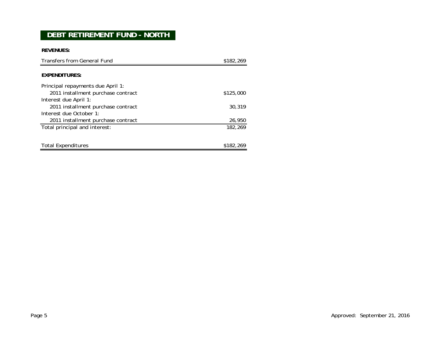# **DEBT RETIREMENT FUND - NORTH**

**REVENUES:**

| Transfers from General Fund        | \$182,269 |
|------------------------------------|-----------|
| EXPENDITURES:                      |           |
|                                    |           |
| Principal repayments due April 1:  |           |
| 2011 installment purchase contract | \$125,000 |
| Interest due April 1:              |           |
| 2011 installment purchase contract | 30.319    |
| Interest due October 1:            |           |
| 2011 installment purchase contract | 26,950    |
| Total principal and interest:      | 182,269   |
|                                    |           |
|                                    |           |
| <b>Total Expenditures</b>          | \$182,269 |